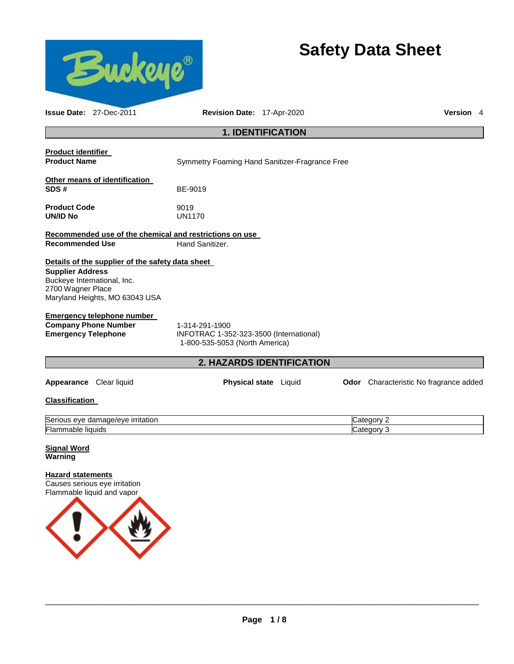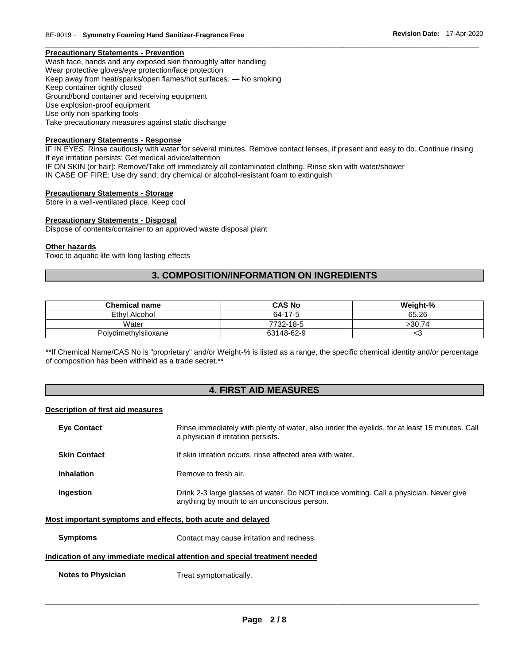## **Precautionary Statements - Prevention**

Wash face, hands and any exposed skin thoroughly after handling Wear protective gloves/eye protection/face protection Keep away from heat/sparks/open flames/hot surfaces. — No smoking Keep container tightly closed Ground/bond container and receiving equipment Use explosion-proof equipment Use only non-sparking tools Take precautionary measures against static discharge

# **Precautionary Statements - Response**

IF IN EYES: Rinse cautiously with water for several minutes. Remove contact lenses, if present and easy to do. Continue rinsing If eye irritation persists: Get medical advice/attention IF ON SKIN (or hair): Remove/Take off immediately all contaminated clothing. Rinse skin with water/shower IN CASE OF FIRE: Use dry sand, dry chemical or alcohol-resistant foam to extinguish

\_\_\_\_\_\_\_\_\_\_\_\_\_\_\_\_\_\_\_\_\_\_\_\_\_\_\_\_\_\_\_\_\_\_\_\_\_\_\_\_\_\_\_\_\_\_\_\_\_\_\_\_\_\_\_\_\_\_\_\_\_\_\_\_\_\_\_\_\_\_\_\_\_\_\_\_\_\_\_\_\_\_\_\_\_\_\_\_\_\_\_\_\_

## **Precautionary Statements - Storage**

Store in a well-ventilated place. Keep cool

## **Precautionary Statements - Disposal**

Dispose of contents/container to an approved waste disposal plant

#### **Other hazards**

Toxic to aquatic life with long lasting effects

# **3. COMPOSITION/INFORMATION ON INGREDIENTS**

| <b>Chemical name</b> | <b>CAS No</b> | Weight-% |
|----------------------|---------------|----------|
| Ethyl Alcohol        | 64-17-5       | 65.26    |
| Water                | 7732-18-5     | >30.74   |
| Polydimethylsiloxane | 63148-62-9    | ເວ       |

\*\*If Chemical Name/CAS No is "proprietary" and/or Weight-% is listed as a range, the specific chemical identity and/or percentage of composition has been withheld as a trade secret.\*\*

# **4. FIRST AID MEASURES**

## **Description of first aid measures**

| <b>Eye Contact</b>                                                         | Rinse immediately with plenty of water, also under the eyelids, for at least 15 minutes. Call<br>a physician if irritation persists.  |  |
|----------------------------------------------------------------------------|---------------------------------------------------------------------------------------------------------------------------------------|--|
| <b>Skin Contact</b>                                                        | If skin irritation occurs, rinse affected area with water.                                                                            |  |
| <b>Inhalation</b>                                                          | Remove to fresh air.                                                                                                                  |  |
| Ingestion                                                                  | Drink 2-3 large glasses of water. Do NOT induce vomiting. Call a physician. Never give<br>anything by mouth to an unconscious person. |  |
| Most important symptoms and effects, both acute and delayed                |                                                                                                                                       |  |
| <b>Symptoms</b>                                                            | Contact may cause irritation and redness.                                                                                             |  |
| Indication of any immediate medical attention and special treatment needed |                                                                                                                                       |  |

**Notes to Physician Treat symptomatically.**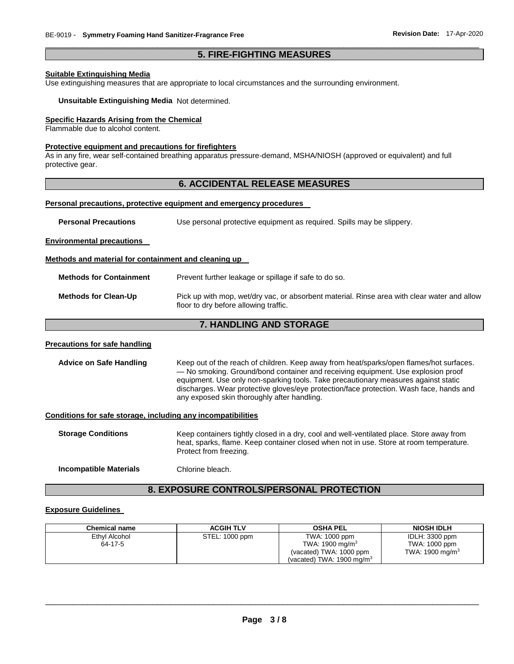# \_\_\_\_\_\_\_\_\_\_\_\_\_\_\_\_\_\_\_\_\_\_\_\_\_\_\_\_\_\_\_\_\_\_\_\_\_\_\_\_\_\_\_\_\_\_\_\_\_\_\_\_\_\_\_\_\_\_\_\_\_\_\_\_\_\_\_\_\_\_\_\_\_\_\_\_\_\_\_\_\_\_\_\_\_\_\_\_\_\_\_\_\_ **5. FIRE-FIGHTING MEASURES**

## **Suitable Extinguishing Media**

Use extinguishing measures that are appropriate to local circumstances and the surrounding environment.

**Unsuitable Extinguishing Media** Not determined.

# **Specific Hazards Arising from the Chemical**

Flammable due to alcohol content.

## **Protective equipment and precautions for firefighters**

As in any fire, wear self-contained breathing apparatus pressure-demand, MSHA/NIOSH (approved or equivalent) and full protective gear.

# **6. ACCIDENTAL RELEASE MEASURES**

## **Personal precautions, protective equipment and emergency procedures**

**Personal Precautions** Use personal protective equipment as required. Spills may be slippery.

**Environmental precautions** 

## **Methods and material for containment and cleaning up**

| Methods for Clean-Up | Pick up with mop, wet/dry vac, or absorbent material. Rinse area with clear water and allow |
|----------------------|---------------------------------------------------------------------------------------------|
|                      | floor to dry before allowing traffic.                                                       |

# **7. HANDLING AND STORAGE**

## **Precautions for safe handling**

**Advice on Safe Handling** Keep out of the reach of children. Keep away from heat/sparks/open flames/hot surfaces. — No smoking. Ground/bond container and receiving equipment. Use explosion proof equipment. Use only non-sparking tools. Take precautionary measures against static discharges. Wear protective gloves/eye protection/face protection. Wash face, hands and any exposed skin thoroughly after handling.

# **Conditions for safe storage, including any incompatibilities**

| <b>Storage Conditions</b> | Keep containers tightly closed in a dry, cool and well-ventilated place. Store away from<br>heat, sparks, flame. Keep container closed when not in use. Store at room temperature.<br>Protect from freezing. |
|---------------------------|--------------------------------------------------------------------------------------------------------------------------------------------------------------------------------------------------------------|
|                           |                                                                                                                                                                                                              |

**Incompatible Materials** Chlorine bleach.

# **8. EXPOSURE CONTROLS/PERSONAL PROTECTION**

# **Exposure Guidelines**

| <b>Chemical name</b> | <b>ACGIH TLV</b> | OSHA PEL                             | <b>NIOSH IDLH</b>  |
|----------------------|------------------|--------------------------------------|--------------------|
| Ethyl Alcohol        | STEL: 1000 ppm   | TWA: 1000 ppm                        | IDLH: 3300 ppm     |
| 64-17-5              |                  | TWA: 1900 mg/m $3$                   | TWA: 1000 ppm      |
|                      |                  | (vacated) TWA: 1000 ppm              | TWA: 1900 mg/m $3$ |
|                      |                  | (vacated) TWA: $1900 \text{ mg/m}^3$ |                    |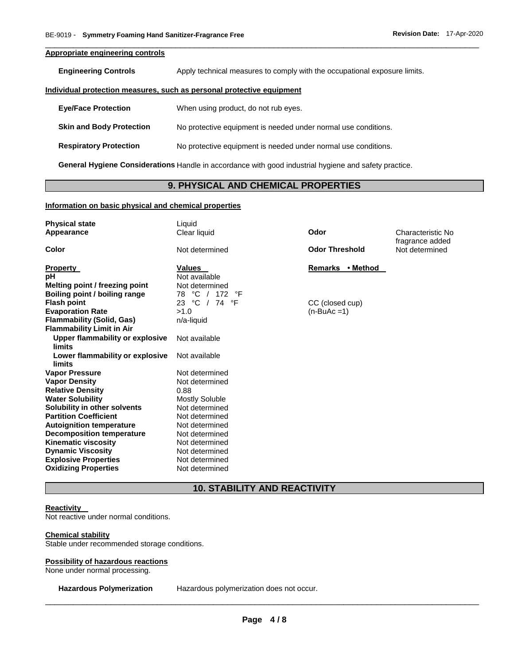# **Appropriate engineering controls**

**Engineering Controls Apply technical measures to comply with the occupational exposure limits.** 

\_\_\_\_\_\_\_\_\_\_\_\_\_\_\_\_\_\_\_\_\_\_\_\_\_\_\_\_\_\_\_\_\_\_\_\_\_\_\_\_\_\_\_\_\_\_\_\_\_\_\_\_\_\_\_\_\_\_\_\_\_\_\_\_\_\_\_\_\_\_\_\_\_\_\_\_\_\_\_\_\_\_\_\_\_\_\_\_\_\_\_\_\_

#### **Individual protection measures, such as personal protective equipment**

| <b>Eye/Face Protection</b>      | When using product, do not rub eyes.                           |
|---------------------------------|----------------------------------------------------------------|
| <b>Skin and Body Protection</b> | No protective equipment is needed under normal use conditions. |
| <b>Respiratory Protection</b>   | No protective equipment is needed under normal use conditions. |

**General Hygiene Considerations** Handle in accordance with good industrial hygiene and safety practice.

# **9. PHYSICAL AND CHEMICAL PROPERTIES**

## **Information on basic physical and chemical properties**

| <b>Physical state</b><br>Appearance                                  | Liquid<br>Clear liquid              | Odor                            | Characteristic No<br>fragrance added |
|----------------------------------------------------------------------|-------------------------------------|---------------------------------|--------------------------------------|
| Color                                                                | Not determined                      | <b>Odor Threshold</b>           | Not determined                       |
| <b>Property</b><br>рH                                                | <b>Values</b><br>Not available      | Remarks • Method                |                                      |
| Melting point / freezing point<br>Boiling point / boiling range      | Not determined<br>78 °C /<br>172 °F |                                 |                                      |
| <b>Flash point</b><br><b>Evaporation Rate</b>                        | 23 °C / 74 °F<br>>1.0               | CC (closed cup)<br>$(n-BuAc=1)$ |                                      |
| <b>Flammability (Solid, Gas)</b><br><b>Flammability Limit in Air</b> | n/a-liquid                          |                                 |                                      |
| Upper flammability or explosive<br>limits                            | Not available                       |                                 |                                      |
| Lower flammability or explosive<br>limits                            | Not available                       |                                 |                                      |
| <b>Vapor Pressure</b>                                                | Not determined                      |                                 |                                      |
| <b>Vapor Density</b><br><b>Relative Density</b>                      | Not determined<br>0.88              |                                 |                                      |
| <b>Water Solubility</b>                                              | <b>Mostly Soluble</b>               |                                 |                                      |
| Solubility in other solvents<br><b>Partition Coefficient</b>         | Not determined<br>Not determined    |                                 |                                      |
| <b>Autoignition temperature</b><br><b>Decomposition temperature</b>  | Not determined<br>Not determined    |                                 |                                      |
| <b>Kinematic viscosity</b>                                           | Not determined                      |                                 |                                      |
| <b>Dynamic Viscosity</b><br><b>Explosive Properties</b>              | Not determined<br>Not determined    |                                 |                                      |
| <b>Oxidizing Properties</b>                                          | Not determined                      |                                 |                                      |

# **10. STABILITY AND REACTIVITY**

## **Reactivity**

Not reactive under normal conditions.

## **Chemical stability**

Stable under recommended storage conditions.

### **Possibility of hazardous reactions**

None under normal processing.

**Hazardous Polymerization** Hazardous polymerization does not occur.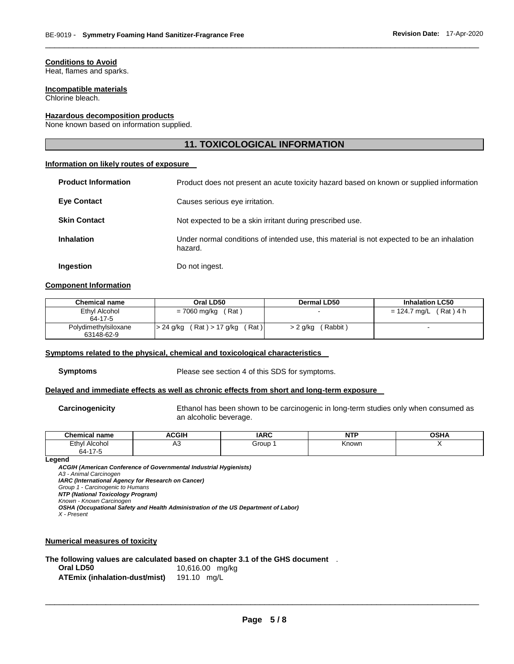# **Conditions to Avoid**

Heat, flames and sparks.

## **Incompatible materials**

Chlorine bleach.

## **Hazardous decomposition products**

None known based on information supplied.

# **11. TOXICOLOGICAL INFORMATION**

\_\_\_\_\_\_\_\_\_\_\_\_\_\_\_\_\_\_\_\_\_\_\_\_\_\_\_\_\_\_\_\_\_\_\_\_\_\_\_\_\_\_\_\_\_\_\_\_\_\_\_\_\_\_\_\_\_\_\_\_\_\_\_\_\_\_\_\_\_\_\_\_\_\_\_\_\_\_\_\_\_\_\_\_\_\_\_\_\_\_\_\_\_

# **Information on likely routes of exposure**

| <b>Product Information</b> | Product does not present an acute toxicity hazard based on known or supplied information              |
|----------------------------|-------------------------------------------------------------------------------------------------------|
| <b>Eye Contact</b>         | Causes serious eye irritation.                                                                        |
| <b>Skin Contact</b>        | Not expected to be a skin irritant during prescribed use.                                             |
| <b>Inhalation</b>          | Under normal conditions of intended use, this material is not expected to be an inhalation<br>hazard. |
| Ingestion                  | Do not ingest.                                                                                        |

## **Component Information**

| <b>Chemical name</b>               | Oral LD50                              | Dermal LD50        | <b>Inhalation LC50</b>      |
|------------------------------------|----------------------------------------|--------------------|-----------------------------|
| Ethyl Alcohol<br>64-17-5           | (Rat)<br>= 7060 mg/kg                  |                    | $(Rat)$ 4 h<br>= 124.7 ma/L |
| Polydimethylsiloxane<br>63148-62-9 | (Rat) > 17 g/kg<br>Rat)<br>l > 24 g/kg | Rabbit<br>> 2 g/kg |                             |

#### **Symptoms related to the physical, chemical and toxicological characteristics**

**Symptoms** Please see section 4 of this SDS for symptoms.

## **Delayed and immediate effects as well as chronic effects from short and long-term exposure**

**Carcinogenicity** Ethanol has been shown to be carcinogenic in long-term studies only when consumed as an alcoholic beverage.

| <b>Chemical name</b> | <b>ACGIH</b> | <b>IARC</b> | <b>NTP</b><br>. | <b>OSHA</b> |
|----------------------|--------------|-------------|-----------------|-------------|
| Ethyl<br>Alcohol     | יר           | Group       | Known           |             |
| 64-17-5              |              |             |                 |             |

#### **Legend**

*ACGIH (American Conference of Governmental Industrial Hygienists) A3 - Animal Carcinogen IARC (International Agency for Research on Cancer) Group 1 - Carcinogenic to Humans NTP (National Toxicology Program) Known - Known Carcinogen OSHA (Occupational Safety and Health Administration of the US Department of Labor) X - Present* 

### **Numerical measures of toxicity**

## **The following values are calculated based on chapter 3.1 of the GHS document** . **Oral LD50** 10,616.00 mg/kg

**ATEmix (inhalation-dust/mist)** 191.10 mg/L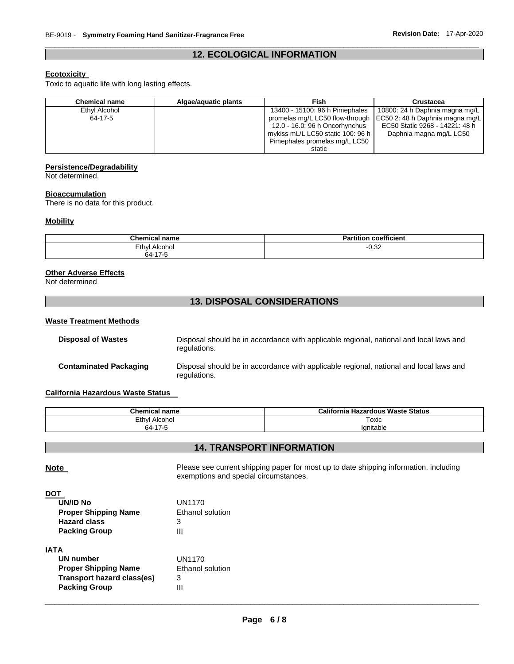# \_\_\_\_\_\_\_\_\_\_\_\_\_\_\_\_\_\_\_\_\_\_\_\_\_\_\_\_\_\_\_\_\_\_\_\_\_\_\_\_\_\_\_\_\_\_\_\_\_\_\_\_\_\_\_\_\_\_\_\_\_\_\_\_\_\_\_\_\_\_\_\_\_\_\_\_\_\_\_\_\_\_\_\_\_\_\_\_\_\_\_\_\_ **12. ECOLOGICAL INFORMATION**

# **Ecotoxicity**

Toxic to aquatic life with long lasting effects.

| <b>Chemical name</b> | Algae/aguatic plants | Fish                              | <b>Crustacea</b>                |
|----------------------|----------------------|-----------------------------------|---------------------------------|
| Ethyl Alcohol        |                      | 13400 - 15100: 96 h Pimephales    | 10800: 24 h Daphnia magna mg/L  |
| 64-17-5              |                      | promelas mg/L LC50 flow-through   | EC50 2: 48 h Daphnia magna mg/L |
|                      |                      | 12.0 - 16.0: 96 h Oncorhynchus    | EC50 Static 9268 - 14221: 48 h  |
|                      |                      | mykiss mL/L LC50 static 100: 96 h | Daphnia magna mg/L LC50         |
|                      |                      | Pimephales promelas mg/L LC50     |                                 |
|                      |                      | static                            |                                 |

# **Persistence/Degradability**

Not determined.

## **Bioaccumulation**

There is no data for this product.

# **Mobility**

| <b>Chemical name</b>     | coefficient<br><b>Partition</b> |
|--------------------------|---------------------------------|
| Ethyl<br>Alcohol         | $-0.32$                         |
| $\sim$ 47 $\sim$<br>64-′ |                                 |

# **Other Adverse Effects**

Not determined

# **13. DISPOSAL CONSIDERATIONS**

## **Waste Treatment Methods**

| <b>Disposal of Wastes</b>     | Disposal should be in accordance with applicable regional, national and local laws and<br>regulations. |
|-------------------------------|--------------------------------------------------------------------------------------------------------|
| <b>Contaminated Packaging</b> | Disposal should be in accordance with applicable regional, national and local laws and<br>regulations. |

# **California Hazardous Waste Status**

| Chemical L<br>name | California<br>a Hazardous Waste Status |
|--------------------|----------------------------------------|
| Ethyl<br>Alcohol   | Toxic                                  |
| 64-17-5            | lanitable                              |

# **14. TRANSPORT INFORMATION**

**Note Please see current shipping paper for most up to date shipping information, including** exemptions and special circumstances.

| UN/ID No                    | UN1170           |
|-----------------------------|------------------|
| <b>Proper Shipping Name</b> | Ethanol solution |
| <b>Hazard class</b>         | З                |
| <b>Packing Group</b>        | Ш                |
|                             |                  |

# **IATA**

| UN number                   | UN1170           |
|-----------------------------|------------------|
| <b>Proper Shipping Name</b> | Ethanol solution |
| Transport hazard class(es)  | 3                |
| <b>Packing Group</b>        | Ш                |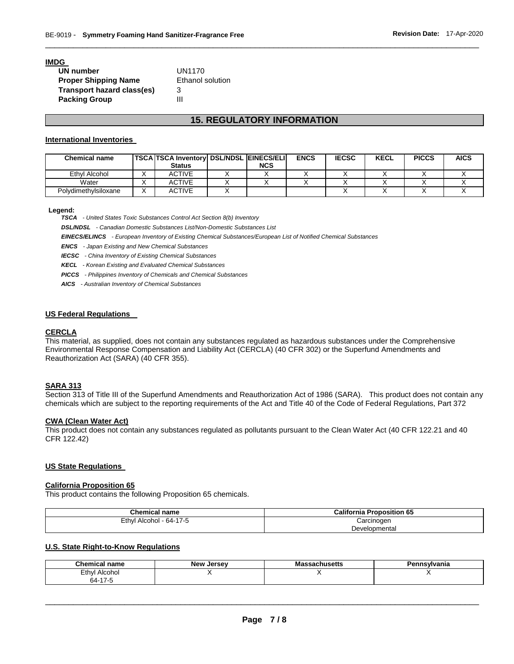## **IMDG**

| UN number                   | UN1170                  |
|-----------------------------|-------------------------|
| <b>Proper Shipping Name</b> | <b>Ethanol solution</b> |
| Transport hazard class(es)  | 3                       |
| <b>Packing Group</b>        | Ш                       |

# **15. REGULATORY INFORMATION**

\_\_\_\_\_\_\_\_\_\_\_\_\_\_\_\_\_\_\_\_\_\_\_\_\_\_\_\_\_\_\_\_\_\_\_\_\_\_\_\_\_\_\_\_\_\_\_\_\_\_\_\_\_\_\_\_\_\_\_\_\_\_\_\_\_\_\_\_\_\_\_\_\_\_\_\_\_\_\_\_\_\_\_\_\_\_\_\_\_\_\_\_\_

## **International Inventories**

| <b>Chemical name</b> | <b>TSCA TSCA Inventory DSL/NDSL EINECS/ELI</b><br><b>Status</b> | <b>NCS</b> | <b>ENCS</b> | <b>IECSC</b> | <b>KECL</b> | <b>PICCS</b> | <b>AICS</b> |
|----------------------|-----------------------------------------------------------------|------------|-------------|--------------|-------------|--------------|-------------|
| Ethyl Alcohol        | <b>ACTIVE</b>                                                   |            |             |              |             |              |             |
| Water                | <b>ACTIVE</b>                                                   |            |             |              |             |              |             |
| Polydimethylsiloxane | <b>ACTIVE</b>                                                   |            |             |              |             |              |             |

#### **Legend:**

*TSCA - United States Toxic Substances Control Act Section 8(b) Inventory* 

*DSL/NDSL - Canadian Domestic Substances List/Non-Domestic Substances List* 

*EINECS/ELINCS - European Inventory of Existing Chemical Substances/European List of Notified Chemical Substances* 

*ENCS - Japan Existing and New Chemical Substances* 

*IECSC - China Inventory of Existing Chemical Substances* 

*KECL - Korean Existing and Evaluated Chemical Substances* 

*PICCS - Philippines Inventory of Chemicals and Chemical Substances* 

*AICS - Australian Inventory of Chemical Substances* 

# **US Federal Regulations**

# **CERCLA**

This material, as supplied, does not contain any substances regulated as hazardous substances under the Comprehensive Environmental Response Compensation and Liability Act (CERCLA) (40 CFR 302) or the Superfund Amendments and Reauthorization Act (SARA) (40 CFR 355).

# **SARA 313**

Section 313 of Title III of the Superfund Amendments and Reauthorization Act of 1986 (SARA). This product does not contain any chemicals which are subject to the reporting requirements of the Act and Title 40 of the Code of Federal Regulations, Part 372

# **CWA (Clean Water Act)**

This product does not contain any substances regulated as pollutants pursuant to the Clean Water Act (40 CFR 122.21 and 40 CFR 122.42)

## **US State Regulations**

## **California Proposition 65**

This product contains the following Proposition 65 chemicals.

| <b>Chemical name</b>    | <b>California Proposition 65</b> |  |
|-------------------------|----------------------------------|--|
| Ethyl Alcohol - 64-17-5 | Carcinogen                       |  |
|                         | Developmental                    |  |

## **U.S. State Right-to-Know Regulations**

| :hemical<br>name            | <b>New</b><br>. Jersev | ssachusetts<br>IVI CI: | Pennsvlvania |
|-----------------------------|------------------------|------------------------|--------------|
| Ethyl<br>Alcohol            |                        |                        |              |
| $\rightarrow$<br>n4-<br>. . |                        |                        |              |